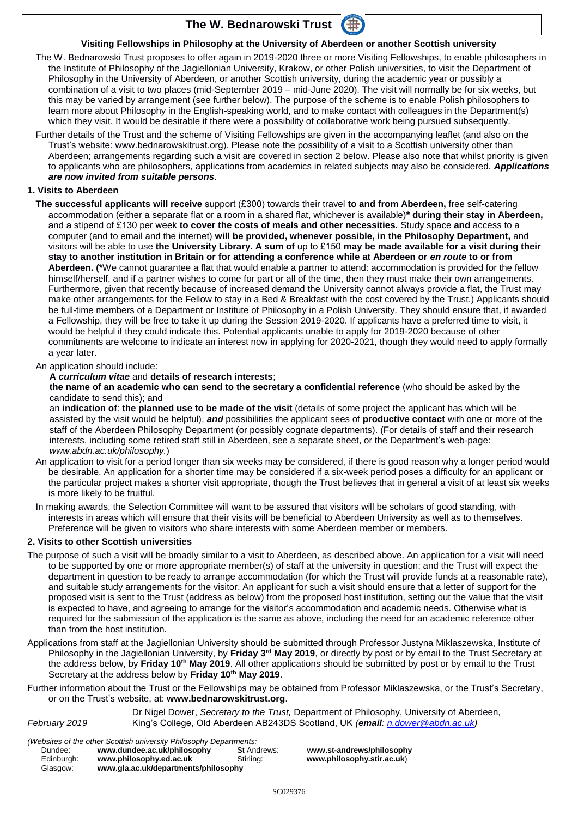## **The W. Bednarowski Trust**



The W. Bednarowski Trust proposes to offer again in 2019-2020 three or more Visiting Fellowships, to enable philosophers in the Institute of Philosophy of the Jagiellonian University, Krakow, or other Polish universities, to visit the Department of Philosophy in the University of Aberdeen, or another Scottish university, during the academic year or possibly a combination of a visit to two places (mid-September 2019 – mid-June 2020). The visit will normally be for six weeks, but this may be varied by arrangement (see further below). The purpose of the scheme is to enable Polish philosophers to learn more about Philosophy in the English-speaking world, and to make contact with colleagues in the Department(s) which they visit. It would be desirable if there were a possibility of collaborative work being pursued subsequently.

Further details of the Trust and the scheme of Visiting Fellowships are given in the accompanying leaflet (and also on the Trust's website: www.bednarowskitrust.org). Please note the possibility of a visit to a Scottish university other than Aberdeen; arrangements regarding such a visit are covered in section 2 below. Please also note that whilst priority is given to applicants who are philosophers, applications from academics in related subjects may also be considered. *Applications are now invited from suitable persons*.

#### **1. Visits to Aberdeen**

**The successful applicants will receive** support (£300) towards their travel **to and from Aberdeen,** free self-catering accommodation (either a separate flat or a room in a shared flat, whichever is available)**\* during their stay in Aberdeen,**  and a stipend of £130 per week **to cover the costs of meals and other necessities.** Study space **and** access to a computer (and to email and the internet) **will be provided, whenever possible, in the Philosophy Department,** and visitors will be able to use **the University Library. A sum of** up to £150 **may be made available for a visit during their stay to another institution in Britain or for attending a conference while at Aberdeen or** *en route* **to or from Aberdeen. (\***We cannot guarantee a flat that would enable a partner to attend: accommodation is provided for the fellow himself/herself, and if a partner wishes to come for part or all of the time, then they must make their own arrangements. Furthermore, given that recently because of increased demand the University cannot always provide a flat, the Trust may make other arrangements for the Fellow to stay in a Bed & Breakfast with the cost covered by the Trust.) Applicants should be full-time members of a Department or Institute of Philosophy in a Polish University. They should ensure that, if awarded a Fellowship, they will be free to take it up during the Session 2019-2020. If applicants have a preferred time to visit, it would be helpful if they could indicate this. Potential applicants unable to apply for 2019-2020 because of other commitments are welcome to indicate an interest now in applying for 2020-2021, though they would need to apply formally a year later.

### An application should include:

#### **A** *curriculum vitae* and **details of research interests**;

**the name of an academic who can send to the secretary a confidential reference** (who should be asked by the candidate to send this); and

an **indication of**: **the planned use to be made of the visit** (details of some project the applicant has which will be assisted by the visit would be helpful), *and* possibilities the applicant sees of **productive contact** with one or more of the staff of the Aberdeen Philosophy Department (or possibly cognate departments). (For details of staff and their research interests, including some retired staff still in Aberdeen, see a separate sheet, or the Department's web-page: *www.abdn.ac.uk/philosophy.*)

- An application to visit for a period longer than six weeks may be considered, if there is good reason why a longer period would be desirable. An application for a shorter time may be considered if a six-week period poses a difficulty for an applicant or the particular project makes a shorter visit appropriate, though the Trust believes that in general a visit of at least six weeks is more likely to be fruitful.
- In making awards, the Selection Committee will want to be assured that visitors will be scholars of good standing, with interests in areas which will ensure that their visits will be beneficial to Aberdeen University as well as to themselves. Preference will be given to visitors who share interests with some Aberdeen member or members.

#### **2. Visits to other Scottish universities**

- The purpose of such a visit will be broadly similar to a visit to Aberdeen, as described above. An application for a visit will need to be supported by one or more appropriate member(s) of staff at the university in question; and the Trust will expect the department in question to be ready to arrange accommodation (for which the Trust will provide funds at a reasonable rate), and suitable study arrangements for the visitor. An applicant for such a visit should ensure that a letter of support for the proposed visit is sent to the Trust (address as below) from the proposed host institution, setting out the value that the visit is expected to have, and agreeing to arrange for the visitor's accommodation and academic needs. Otherwise what is required for the submission of the application is the same as above, including the need for an academic reference other than from the host institution.
- Applications from staff at the Jagiellonian University should be submitted through Professor Justyna Miklaszewska, Institute of Philosophy in the Jagiellonian University, by **Friday 3rd May 2019**, or directly by post or by email to the Trust Secretary at the address below, by **Friday 10th May 2019**. All other applications should be submitted by post or by email to the Trust Secretary at the address below by **Friday 10th May 2019**.
- Further information about the Trust or the Fellowships may be obtained from Professor Miklaszewska, or the Trust's Secretary, or on the Trust's website, at: **[www.bednarowskitrust.org](http://www.bednarowskitrust.org/)**.

Dr Nigel Dower, *Secretary to the Trust,* Department of Philosophy, University of Aberdeen, *February 2019* King's College, Old Aberdeen AB243DS Scotland, UK *(email: [n.dower@abdn.ac.uk\)](mailto:n.dower@abdn.ac.uk)*

*(Websites of the other Scottish university Philosophy Departments:*

| Tricosites of the other occition annoisity i micsophy Departments. |                                      |             |
|--------------------------------------------------------------------|--------------------------------------|-------------|
| Dundee:                                                            | www.dundee.ac.uk/philosophy          | St Andrews: |
| Edinburah:                                                         | www.philosophy.ed.ac.uk              | Stirling:   |
| Glasgow:                                                           | www.gla.ac.uk/departments/philosophy |             |

SC029376

[www.st-andrews/p](http://www.st-andrews/)hilosophy www.philosophy.stir.ac.uk)